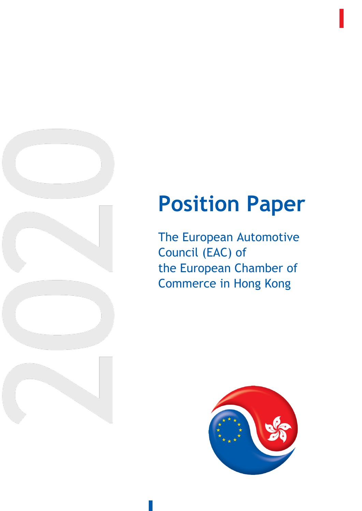

## **Position Paper**

The European Automotive Council (EAC) of the European Chamber of Commerce in Hong Kong

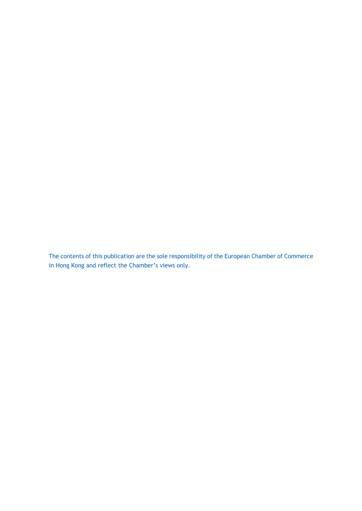The contents of this publication are the sole responsibility of the European Chamber of Commerce in Hong Kong and reflect the Chamber's views only.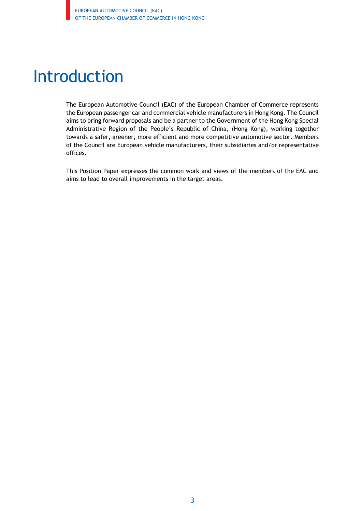### Introduction

The European Automotive Council (EAC) of the European Chamber of Commerce represents the European passenger car and commercial vehicle manufacturers in Hong Kong. The Council aims to bring forward proposals and be a partner to the Government of the Hong Kong Special Administrative Region of the People's Republic of China, (Hong Kong), working together towards a safer, greener, more efficient and more competitive automotive sector. Members of the Council are European vehicle manufacturers, their subsidiaries and/or representative offices.

This Position Paper expresses the common work and views of the members of the EAC and aims to lead to overall improvements in the target areas.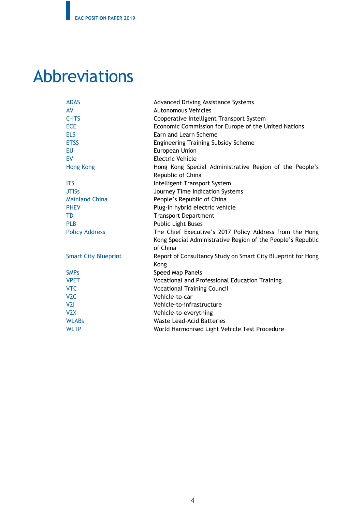## Abbreviations

| <b>ADAS</b>                 | <b>Advanced Driving Assistance Systems</b>                   |  |  |
|-----------------------------|--------------------------------------------------------------|--|--|
| AV                          | <b>Autonomous Vehicles</b>                                   |  |  |
| $C-ITS$                     | Cooperative Intelligent Transport System                     |  |  |
| <b>ECE</b>                  | Economic Commission for Europe of the United Nations         |  |  |
| <b>ELS</b>                  | Earn and Learn Scheme                                        |  |  |
| <b>ETSS</b>                 | <b>Engineering Training Subsidy Scheme</b>                   |  |  |
| <b>EU</b>                   | European Union                                               |  |  |
| EV                          | <b>Electric Vehicle</b>                                      |  |  |
| <b>Hong Kong</b>            | Hong Kong Special Administrative Region of the People's      |  |  |
|                             | Republic of China                                            |  |  |
| <b>ITS</b>                  | Intelligent Transport System                                 |  |  |
| <b>JTISS</b>                | Journey Time Indication Systems                              |  |  |
| <b>Mainland China</b>       | People's Republic of China                                   |  |  |
| <b>PHEV</b>                 | Plug-in hybrid electric vehicle                              |  |  |
| TD                          | <b>Transport Department</b>                                  |  |  |
| <b>PLB</b>                  | <b>Public Light Buses</b>                                    |  |  |
| <b>Policy Address</b>       | The Chief Executive's 2017 Policy Address from the Hong      |  |  |
|                             | Kong Special Administrative Region of the People's Republic  |  |  |
|                             | of China                                                     |  |  |
| <b>Smart City Blueprint</b> | Report of Consultancy Study on Smart City Blueprint for Hong |  |  |
|                             | Kong                                                         |  |  |
| <b>SMPs</b>                 | Speed Map Panels                                             |  |  |
| <b>VPET</b>                 | Vocational and Professional Education Training               |  |  |
| <b>VTC</b>                  | <b>Vocational Training Council</b>                           |  |  |
| V <sub>2</sub> C            | Vehicle-to-car                                               |  |  |
| V2I                         | Vehicle-to-infrastructure                                    |  |  |
| V2X                         | Vehicle-to-everything                                        |  |  |
| <b>WLABs</b>                | <b>Waste Lead-Acid Batteries</b>                             |  |  |
| <b>WLTP</b>                 | World Harmonised Light Vehicle Test Procedure                |  |  |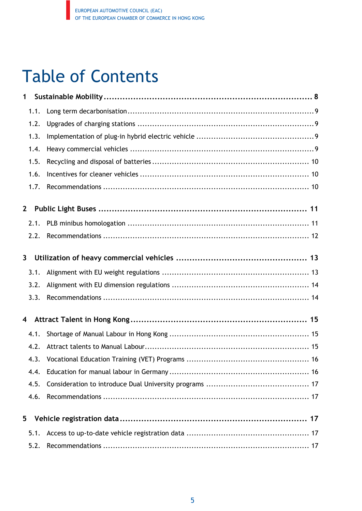## Table of Contents

| 1            |  |
|--------------|--|
| 1.1.         |  |
| 1.2.         |  |
| 1.3.         |  |
| 1.4.         |  |
| 1.5.         |  |
| 1.6.         |  |
| 1.7.         |  |
| $\mathbf{2}$ |  |
| 2.1.         |  |
| 2.2.         |  |
| 3            |  |
| 3.1.         |  |
| 3.2.         |  |
| 3.3.         |  |
| 4            |  |
| 4.1.         |  |
| 4.2.         |  |
| 4.3.         |  |
| 4.4.         |  |
| 4.5.         |  |
| 4.6.         |  |
| 5            |  |
| 5.1.         |  |
| 5.2.         |  |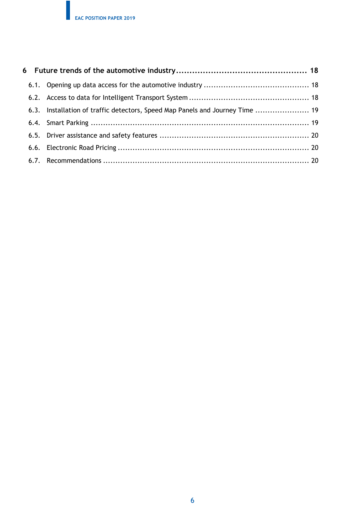|  |  | 6.3. Installation of traffic detectors, Speed Map Panels and Journey Time  19 |  |  |
|--|--|-------------------------------------------------------------------------------|--|--|
|  |  |                                                                               |  |  |
|  |  |                                                                               |  |  |
|  |  |                                                                               |  |  |
|  |  |                                                                               |  |  |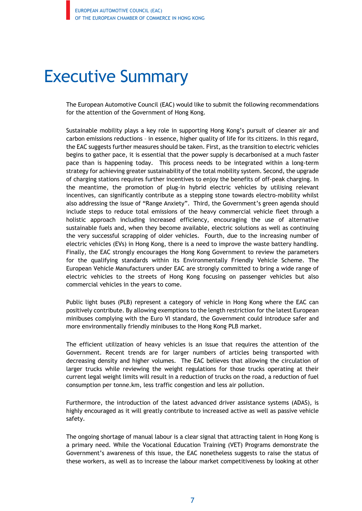## Executive Summary

The European Automotive Council (EAC) would like to submit the following recommendations for the attention of the Government of Hong Kong.

Sustainable mobility plays a key role in supporting Hong Kong's pursuit of cleaner air and carbon emissions reductions – in essence, higher quality of life for its citizens. In this regard, the EAC suggests further measures should be taken. First, as the transition to electric vehicles begins to gather pace, it is essential that the power supply is decarbonised at a much faster pace than is happening today. This process needs to be integrated within a long-term strategy for achieving greater sustainability of the total mobility system. Second, the upgrade of charging stations requires further incentives to enjoy the benefits of off-peak charging. In the meantime, the promotion of plug-in hybrid electric vehicles by utilising relevant incentives, can significantly contribute as a stepping stone towards electro-mobility whilst also addressing the issue of "Range Anxiety". Third, the Government's green agenda should include steps to reduce total emissions of the heavy commercial vehicle fleet through a holistic approach including increased efficiency, encouraging the use of alternative sustainable fuels and, when they become available, electric solutions as well as continuing the very successful scrapping of older vehicles. Fourth, due to the increasing number of electric vehicles (EVs) in Hong Kong, there is a need to improve the waste battery handling. Finally, the EAC strongly encourages the Hong Kong Government to review the parameters for the qualifying standards within its Environmentally Friendly Vehicle Scheme. The European Vehicle Manufacturers under EAC are strongly committed to bring a wide range of electric vehicles to the streets of Hong Kong focusing on passenger vehicles but also commercial vehicles in the years to come.

Public light buses (PLB) represent a category of vehicle in Hong Kong where the EAC can positively contribute. By allowing exemptions to the length restriction for the latest European minibuses complying with the Euro VI standard, the Government could introduce safer and more environmentally friendly minibuses to the Hong Kong PLB market.

The efficient utilization of heavy vehicles is an issue that requires the attention of the Government. Recent trends are for larger numbers of articles being transported with decreasing density and higher volumes. The EAC believes that allowing the circulation of larger trucks while reviewing the weight regulations for those trucks operating at their current legal weight limits will result in a reduction of trucks on the road, a reduction of fuel consumption per tonne.km, less traffic congestion and less air pollution.

Furthermore, the introduction of the latest advanced driver assistance systems (ADAS), is highly encouraged as it will greatly contribute to increased active as well as passive vehicle safety.

The ongoing shortage of manual labour is a clear signal that attracting talent in Hong Kong is a primary need. While the Vocational Education Training (VET) Programs demonstrate the Government's awareness of this issue, the EAC nonetheless suggests to raise the status of these workers, as well as to increase the labour market competitiveness by looking at other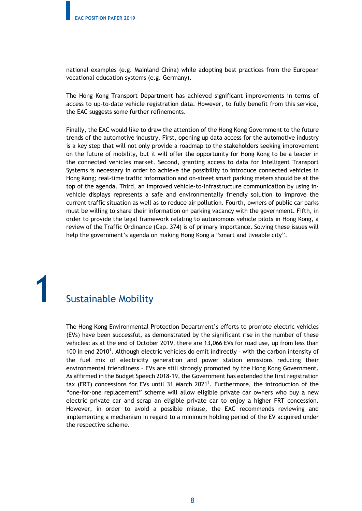national examples (e.g. Mainland China) while adopting best practices from the European vocational education systems (e.g. Germany).

The Hong Kong Transport Department has achieved significant improvements in terms of access to up-to-date vehicle registration data. However, to fully benefit from this service, the EAC suggests some further refinements.

Finally, the EAC would like to draw the attention of the Hong Kong Government to the future trends of the automotive industry. First, opening up data access for the automotive industry is a key step that will not only provide a roadmap to the stakeholders seeking improvement on the future of mobility, but it will offer the opportunity for Hong Kong to be a leader in the connected vehicles market. Second, granting access to data for Intelligent Transport Systems is necessary in order to achieve the possibility to introduce connected vehicles in Hong Kong; real-time traffic information and on-street smart parking meters should be at the top of the agenda. Third, an improved vehicle-to-infrastructure communication by using invehicle displays represents a safe and environmentally friendly solution to improve the current traffic situation as well as to reduce air pollution. Fourth, owners of public car parks must be willing to share their information on parking vacancy with the government. Fifth, in order to provide the legal framework relating to autonomous vehicle pilots in Hong Kong, a review of the Traffic Ordinance (Cap. 374) is of primary importance. Solving these issues will help the government's agenda on making Hong Kong a "smart and liveable city".

## **Sustainable Mobility**

The Hong Kong Environmental Protection Department's efforts to promote electric vehicles (EVs) have been successful, as demonstrated by the significant rise in the number of these vehicles: as at the end of October 2019, there are 13,066 EVs for road use, up from less than 100 in end 2010<sup>1</sup>. Although electric vehicles do emit indirectly - with the carbon intensity of the fuel mix of electricity generation and power station emissions reducing their environmental friendliness – EVs are still strongly promoted by the Hong Kong Government. As affirmed in the Budget Speech 2018-19, the Government has extended the first registration tax (FRT) concessions for EVs until 31 March 2021<sup>2</sup>. Furthermore, the introduction of the "one-for-one replacement" scheme will allow eligible private car owners who buy a new electric private car and scrap an eligible private car to enjoy a higher FRT concession. However, in order to avoid a possible misuse, the EAC recommends reviewing and implementing a mechanism in regard to a minimum holding period of the EV acquired under the respective scheme.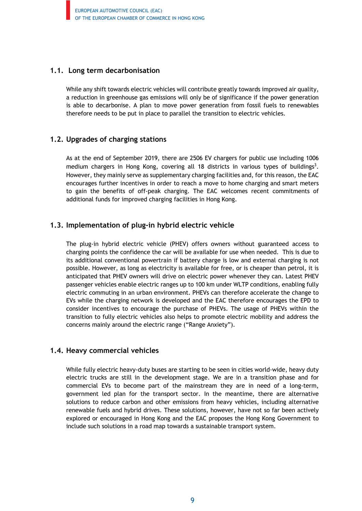#### **1.1. Long term decarbonisation**

While any shift towards electric vehicles will contribute greatly towards improved air quality, a reduction in greenhouse gas emissions will only be of significance if the power generation is able to decarbonise. A plan to move power generation from fossil fuels to renewables therefore needs to be put in place to parallel the transition to electric vehicles.

#### **1.2. Upgrades of charging stations**

As at the end of September 2019, there are 2506 EV chargers for public use including 1006 medium chargers in Hong Kong, covering all 18 districts in various types of buildings<sup>3</sup>. However, they mainly serve as supplementary charging facilities and, for this reason, the EAC encourages further incentives in order to reach a move to home charging and smart meters to gain the benefits of off-peak charging. The EAC welcomes recent commitments of additional funds for improved charging facilities in Hong Kong.

#### **1.3. Implementation of plug-in hybrid electric vehicle**

The plug-in hybrid electric vehicle (PHEV) offers owners without guaranteed access to charging points the confidence the car will be available for use when needed. This is due to its additional conventional powertrain if battery charge is low and external charging is not possible. However, as long as electricity is available for free, or is cheaper than petrol, it is anticipated that PHEV owners will drive on electric power whenever they can. Latest PHEV passenger vehicles enable electric ranges up to 100 km under WLTP conditions, enabling fully electric commuting in an urban environment. PHEVs can therefore accelerate the change to EVs while the charging network is developed and the EAC therefore encourages the EPD to consider incentives to encourage the purchase of PHEVs. The usage of PHEVs within the transition to fully electric vehicles also helps to promote electric mobility and address the concerns mainly around the electric range ("Range Anxiety").

#### **1.4. Heavy commercial vehicles**

While fully electric heavy-duty buses are starting to be seen in cities world-wide, heavy duty electric trucks are still in the development stage. We are in a transition phase and for commercial EVs to become part of the mainstream they are in need of a long-term, government led plan for the transport sector. In the meantime, there are alternative solutions to reduce carbon and other emissions from heavy vehicles, including alternative renewable fuels and hybrid drives. These solutions, however, have not so far been actively explored or encouraged in Hong Kong and the EAC proposes the Hong Kong Government to include such solutions in a road map towards a sustainable transport system.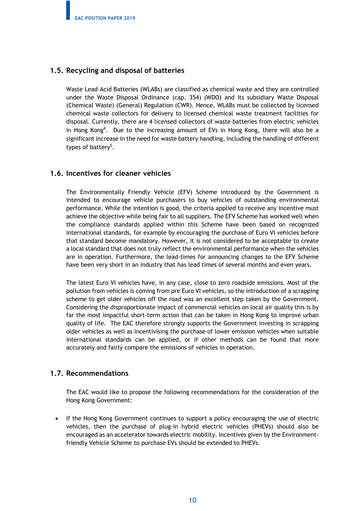#### **1.5. Recycling and disposal of batteries**

Waste Lead-Acid Batteries (WLABs) are classified as chemical waste and they are controlled under the Waste Disposal Ordinance (cap. 354) (WDO) and its subsidiary Waste Disposal (Chemical Waste) (General) Regulation (CWR). Hence, WLABs must be collected by licensed chemical waste collectors for delivery to licensed chemical waste treatment facilities for disposal. Currently, there are 4 licensed collectors of waste batteries from electric vehicles in Hong Kong<sup>4</sup>. Due to the increasing amount of EVs in Hong Kong, there will also be a significant increase in the need for waste battery handling, including the handling of different types of battery<sup>5</sup>.

#### **1.6. Incentives for cleaner vehicles**

The Environmentally Friendly Vehicle (EFV) Scheme introduced by the Government is intended to encourage vehicle purchasers to buy vehicles of outstanding environmental performance. While the intention is good, the criteria applied to receive any incentive must achieve the objective while being fair to all suppliers. The EFV Scheme has worked well when the compliance standards applied within this Scheme have been based on recognized international standards, for example by encouraging the purchase of Euro VI vehicles before that standard become mandatory. However, it is not considered to be acceptable to create a local standard that does not truly reflect the environmental performance when the vehicles are in operation. Furthermore, the lead-times for announcing changes to the EFV Scheme have been very short in an industry that has lead times of several months and even years.

The latest Euro VI vehicles have, in any case, close to zero roadside emissions. Most of the pollution from vehicles is coming from pre Euro VI vehicles, so the introduction of a scrapping scheme to get older vehicles off the road was an excellent step taken by the Government. Considering the disproportionate impact of commercial vehicles on local air quality this is by far the most impactful short-term action that can be taken in Hong Kong to improve urban quality of life. The EAC therefore strongly supports the Government investing in scrapping older vehicles as well as incentivising the purchase of lower emission vehicles when suitable international standards can be applied, or if other methods can be found that more accurately and fairly compare the emissions of vehicles in operation.

#### **1.7. Recommendations**

The EAC would like to propose the following recommendations for the consideration of the Hong Kong Government:

• If the Hong Kong Government continues to support a policy encouraging the use of electric vehicles, then the purchase of plug-in hybrid electric vehicles (PHEVs) should also be encouraged as an accelerator towards electric mobility. Incentives given by the Environmentfriendly Vehicle Scheme to purchase EVs should be extended to PHEVs.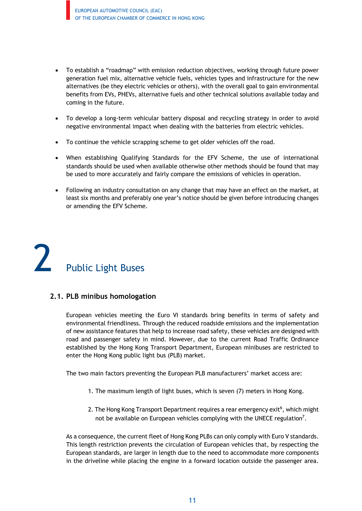- To establish a "roadmap" with emission reduction objectives, working through future power generation fuel mix, alternative vehicle fuels, vehicles types and infrastructure for the new alternatives (be they electric vehicles or others), with the overall goal to gain environmental benefits from EVs, PHEVs, alternative fuels and other technical solutions available today and coming in the future.
- To develop a long-term vehicular battery disposal and recycling strategy in order to avoid negative environmental impact when dealing with the batteries from electric vehicles.
- To continue the vehicle scrapping scheme to get older vehicles off the road.
- When establishing Qualifying Standards for the EFV Scheme, the use of international standards should be used when available otherwise other methods should be found that may be used to more accurately and fairly compare the emissions of vehicles in operation.
- Following an industry consultation on any change that may have an effect on the market, at least six months and preferably one year's notice should be given before introducing changes or amending the EFV Scheme.

Public Light Buses

#### **2.1. PLB minibus homologation**

European vehicles meeting the Euro VI standards bring benefits in terms of safety and environmental friendliness. Through the reduced roadside emissions and the implementation of new assistance features that help to increase road safety, these vehicles are designed with road and passenger safety in mind. However, due to the current Road Traffic Ordinance established by the Hong Kong Transport Department, European minibuses are restricted to enter the Hong Kong public light bus (PLB) market.

The two main factors preventing the European PLB manufacturers' market access are:

- 1. The maximum length of light buses, which is seven (7) meters in Hong Kong.
- 2. The Hong Kong Transport Department requires a rear emergency exit<sup>6</sup>, which might not be available on European vehicles complying with the UNECE regulation<sup>7</sup>.

As a consequence, the current fleet of Hong Kong PLBs can only comply with Euro V standards. This length restriction prevents the circulation of European vehicles that, by respecting the European standards, are larger in length due to the need to accommodate more components in the driveline while placing the engine in a forward location outside the passenger area.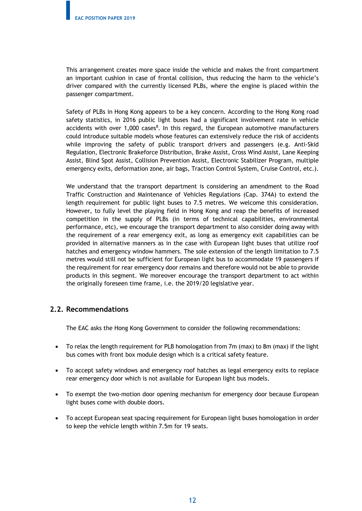This arrangement creates more space inside the vehicle and makes the front compartment an important cushion in case of frontal collision, thus reducing the harm to the vehicle's driver compared with the currently licensed PLBs, where the engine is placed within the passenger compartment.

Safety of PLBs in Hong Kong appears to be a key concern. According to the Hong Kong road safety statistics, in 2016 public light buses had a significant involvement rate in vehicle accidents with over 1,000 cases<sup>8</sup>. In this regard, the European automotive manufacturers could introduce suitable models whose features can extensively reduce the risk of accidents while improving the safety of public transport drivers and passengers (e.g. Anti-Skid Regulation, Electronic Brakeforce Distribution, Brake Assist, Cross Wind Assist, Lane Keeping Assist, Blind Spot Assist, Collision Prevention Assist, Electronic Stabilizer Program, multiple emergency exits, deformation zone, air bags, Traction Control System, Cruise Control, etc.).

We understand that the transport department is considering an amendment to the Road Traffic Construction and Maintenance of Vehicles Regulations (Cap. 374A) to extend the length requirement for public light buses to 7.5 metres. We welcome this consideration. However, to fully level the playing field in Hong Kong and reap the benefits of increased competition in the supply of PLBs (in terms of technical capabilities, environmental performance, etc), we encourage the transport department to also consider doing away with the requirement of a rear emergency exit, as long as emergency exit capabilities can be provided in alternative manners as in the case with European light buses that utilize roof hatches and emergency window hammers. The sole extension of the length limitation to 7.5 metres would still not be sufficient for European light bus to accommodate 19 passengers if the requirement for rear emergency door remains and therefore would not be able to provide products in this segment. We moreover encourage the transport department to act within the originally foreseen time frame, i.e. the 2019/20 legislative year.

#### **2.2. Recommendations**

The EAC asks the Hong Kong Government to consider the following recommendations:

- To relax the length requirement for PLB homologation from 7m (max) to 8m (max) if the light bus comes with front box module design which is a critical safety feature.
- To accept safety windows and emergency roof hatches as legal emergency exits to replace rear emergency door which is not available for European light bus models.
- To exempt the two-motion door opening mechanism for emergency door because European light buses come with double doors.
- To accept European seat spacing requirement for European light buses homologation in order to keep the vehicle length within 7.5m for 19 seats.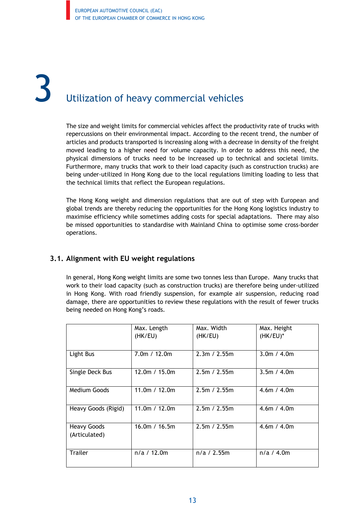# Utilization of heavy commercial vehicles

The size and weight limits for commercial vehicles affect the productivity rate of trucks with repercussions on their environmental impact. According to the recent trend, the number of articles and products transported is increasing along with a decrease in density of the freight moved leading to a higher need for volume capacity. In order to address this need, the physical dimensions of trucks need to be increased up to technical and societal limits. Furthermore, many trucks that work to their load capacity (such as construction trucks) are being under-utilized in Hong Kong due to the local regulations limiting loading to less that the technical limits that reflect the European regulations.

The Hong Kong weight and dimension regulations that are out of step with European and global trends are thereby reducing the opportunities for the Hong Kong logistics industry to maximise efficiency while sometimes adding costs for special adaptations. There may also be missed opportunities to standardise with Mainland China to optimise some cross-border operations.

#### **3.1. Alignment with EU weight regulations**

In general, Hong Kong weight limits are some two tonnes less than Europe. Many trucks that work to their load capacity (such as construction trucks) are therefore being under-utilized in Hong Kong. With road friendly suspension, for example air suspension, reducing road damage, there are opportunities to review these regulations with the result of fewer trucks being needed on Hong Kong's roads.

|                                     | Max. Length<br>(HK/EU) | Max. Width<br>(HK/EU) | Max. Height<br>$(HK/EU)^*$ |
|-------------------------------------|------------------------|-----------------------|----------------------------|
| Light Bus                           | 7.0m / 12.0m           | 2.3m / 2.55m          | 3.0m / 4.0m                |
| Single Deck Bus                     | 12.0m / 15.0m          | 2.5m / 2.55m          | 3.5m / 4.0m                |
| <b>Medium Goods</b>                 | 11.0m / $12.0m$        | 2.5m / 2.55m          | 4.6m / 4.0m                |
| Heavy Goods (Rigid)                 | 11.0m / 12.0m          | 2.5m / 2.55m          | 4.6m / 4.0m                |
| <b>Heavy Goods</b><br>(Articulated) | 16.0m / 16.5m          | 2.5m / 2.55m          | 4.6m / 4.0m                |
| <b>Trailer</b>                      | n/a / 12.0m            | n/a / 2.55m           | n/a / 4.0m                 |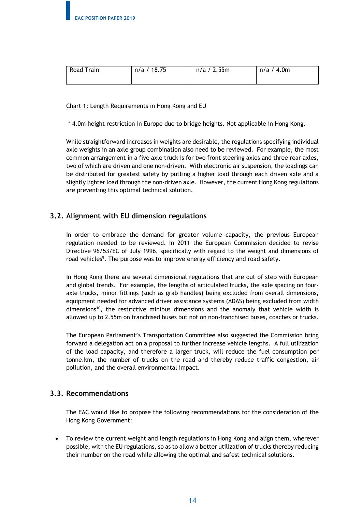| Road Train | n/a / 18.75 | n/a / 2.55m | n/a / 4.0m |
|------------|-------------|-------------|------------|
|            |             |             |            |

Chart 1: Length Requirements in Hong Kong and EU

\* 4.0m height restriction in Europe due to bridge heights. Not applicable in Hong Kong.

While straightforward increases in weights are desirable, the regulations specifying individual axle weights in an axle group combination also need to be reviewed. For example, the most common arrangement in a five axle truck is for two front steering axles and three rear axles, two of which are driven and one non-driven. With electronic air suspension, the loadings can be distributed for greatest safety by putting a higher load through each driven axle and a slightly lighter load through the non-driven axle. However, the current Hong Kong regulations are preventing this optimal technical solution.

#### **3.2. Alignment with EU dimension regulations**

In order to embrace the demand for greater volume capacity, the previous European regulation needed to be reviewed. In 2011 the European Commission decided to revise Directive 96/53/EC of July 1996, specifically with regard to the weight and dimensions of road vehicles<sup>9</sup>. The purpose was to improve energy efficiency and road safety.

In Hong Kong there are several dimensional regulations that are out of step with European and global trends. For example, the lengths of articulated trucks, the axle spacing on fouraxle trucks, minor fittings (such as grab handles) being excluded from overall dimensions, equipment needed for advanced driver assistance systems (ADAS) being excluded from width dimensions<sup>10</sup>, the restrictive minibus dimensions and the anomaly that vehicle width is allowed up to 2.55m on franchised buses but not on non-franchised buses, coaches or trucks.

The European Parliament's Transportation Committee also suggested the Commission bring forward a delegation act on a proposal to further increase vehicle lengths. A full utilization of the load capacity, and therefore a larger truck, will reduce the fuel consumption per tonne.km, the number of trucks on the road and thereby reduce traffic congestion, air pollution, and the overall environmental impact.

#### **3.3. Recommendations**

The EAC would like to propose the following recommendations for the consideration of the Hong Kong Government:

• To review the current weight and length regulations in Hong Kong and align them, wherever possible, with the EU regulations, so as to allow a better utilization of trucks thereby reducing their number on the road while allowing the optimal and safest technical solutions.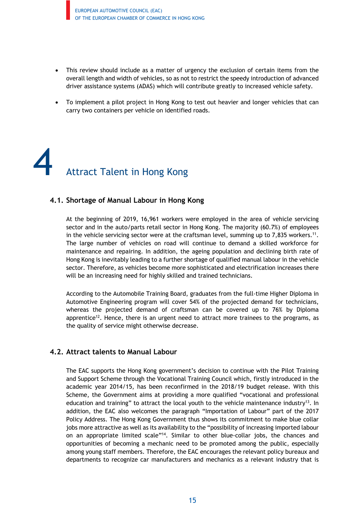- This review should include as a matter of urgency the exclusion of certain items from the overall length and width of vehicles, so as not to restrict the speedy introduction of advanced driver assistance systems (ADAS) which will contribute greatly to increased vehicle safety.
- To implement a pilot project in Hong Kong to test out heavier and longer vehicles that can carry two containers per vehicle on identified roads.

Attract Talent in Hong Kong

#### **4.1. Shortage of Manual Labour in Hong Kong**

At the beginning of 2019, 16,961 workers were employed in the area of vehicle servicing sector and in the auto/parts retail sector in Hong Kong. The majority (60.7%) of employees in the vehicle servicing sector were at the craftsman level, summing up to 7,835 workers.<sup>11</sup>. The large number of vehicles on road will continue to demand a skilled workforce for maintenance and repairing. In addition, the ageing population and declining birth rate of Hong Kong is inevitably leading to a further shortage of qualified manual labour in the vehicle sector. Therefore, as vehicles become more sophisticated and electrification increases there will be an increasing need for highly skilled and trained technicians.

According to the Automobile Training Board, graduates from the full-time Higher Diploma in Automotive Engineering program will cover 54% of the projected demand for technicians, whereas the projected demand of craftsman can be covered up to 76% by Diploma apprentice<sup>12</sup>. Hence, there is an urgent need to attract more trainees to the programs, as the quality of service might otherwise decrease.

#### **4.2. Attract talents to Manual Labour**

The EAC supports the Hong Kong government's decision to continue with the Pilot Training and Support Scheme through the Vocational Training Council which, firstly introduced in the academic year 2014/15, has been reconfirmed in the 2018/19 budget release. With this Scheme, the Government aims at providing a more qualified "vocational and professional education and training" to attract the local youth to the vehicle maintenance industry<sup>13</sup>. In addition, the EAC also welcomes the paragraph "Importation of Labour" part of the 2017 Policy Address. The Hong Kong Government thus shows its commitment to make blue collar jobs more attractive as well as its availability to the "possibility of increasing imported labour on an appropriate limited scale"14. Similar to other blue-collar jobs, the chances and opportunities of becoming a mechanic need to be promoted among the public, especially among young staff members. Therefore, the EAC encourages the relevant policy bureaux and departments to recognize car manufacturers and mechanics as a relevant industry that is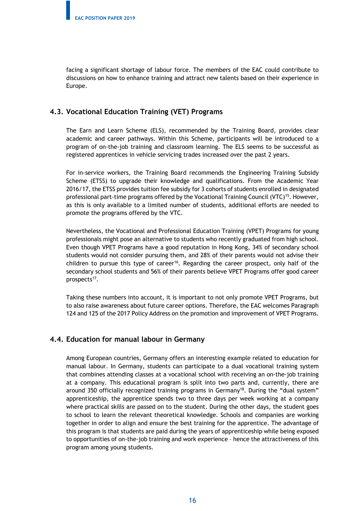facing a significant shortage of labour force. The members of the EAC could contribute to discussions on how to enhance training and attract new talents based on their experience in Europe.

#### **4.3. Vocational Education Training (VET) Programs**

The Earn and Learn Scheme (ELS), recommended by the Training Board, provides clear academic and career pathways. Within this Scheme, participants will be introduced to a program of on-the-job training and classroom learning. The ELS seems to be successful as registered apprentices in vehicle servicing trades increased over the past 2 years.

For in-service workers, the Training Board recommends the Engineering Training Subsidy Scheme (ETSS) to upgrade their knowledge and qualifications. From the Academic Year 2016/17, the ETSS provides tuition fee subsidy for 3 cohorts of students enrolled in designated professional part-time programs offered by the Vocational Training Council (VTC)<sup>15</sup>. However, as this is only available to a limited number of students, additional efforts are needed to promote the programs offered by the VTC.

Nevertheless, the Vocational and Professional Education Training (VPET) Programs for young professionals might pose an alternative to students who recently graduated from high school. Even though VPET Programs have a good reputation in Hong Kong, 34% of secondary school students would not consider pursuing them, and 28% of their parents would not advise their children to pursue this type of career<sup>16</sup>. Regarding the career prospect, only half of the secondary school students and 56% of their parents believe VPET Programs offer good career prospects<sup>17</sup>.

Taking these numbers into account, it is important to not only promote VPET Programs, but to also raise awareness about future career options. Therefore, the EAC welcomes Paragraph 124 and 125 of the 2017 Policy Address on the promotion and improvement of VPET Programs.

#### **4.4. Education for manual labour in Germany**

Among European countries, Germany offers an interesting example related to education for manual labour. In Germany, students can participate to a dual vocational training system that combines attending classes at a vocational school with receiving an on-the-job training at a company. This educational program is split into two parts and, currently, there are around 350 officially recognized training programs in Germany<sup>18</sup>. During the "dual system" apprenticeship, the apprentice spends two to three days per week working at a company where practical skills are passed on to the student. During the other days, the student goes to school to learn the relevant theoretical knowledge. Schools and companies are working together in order to align and ensure the best training for the apprentice. The advantage of this program is that students are paid during the years of apprenticeship while being exposed to opportunities of on-the-job training and work experience – hence the attractiveness of this program among young students.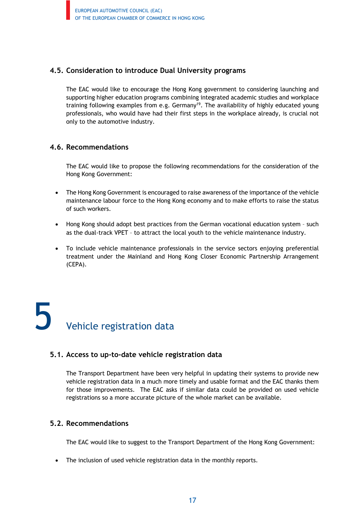#### **4.5. Consideration to introduce Dual University programs**

The EAC would like to encourage the Hong Kong government to considering launching and supporting higher education programs combining integrated academic studies and workplace training following examples from e.g. Germany<sup>19</sup>. The availability of highly educated young professionals, who would have had their first steps in the workplace already, is crucial not only to the automotive industry.

#### **4.6. Recommendations**

The EAC would like to propose the following recommendations for the consideration of the Hong Kong Government:

- The Hong Kong Government is encouraged to raise awareness of the importance of the vehicle maintenance labour force to the Hong Kong economy and to make efforts to raise the status of such workers.
- Hong Kong should adopt best practices from the German vocational education system such as the dual-track VPET – to attract the local youth to the vehicle maintenance industry.
- To include vehicle maintenance professionals in the service sectors enjoying preferential treatment under the Mainland and Hong Kong Closer Economic Partnership Arrangement (CEPA).

## Vehicle registration data

#### **5.1. Access to up-to-date vehicle registration data**

The Transport Department have been very helpful in updating their systems to provide new vehicle registration data in a much more timely and usable format and the EAC thanks them for those improvements. The EAC asks if similar data could be provided on used vehicle registrations so a more accurate picture of the whole market can be available.

#### **5.2. Recommendations**

The EAC would like to suggest to the Transport Department of the Hong Kong Government:

• The inclusion of used vehicle registration data in the monthly reports.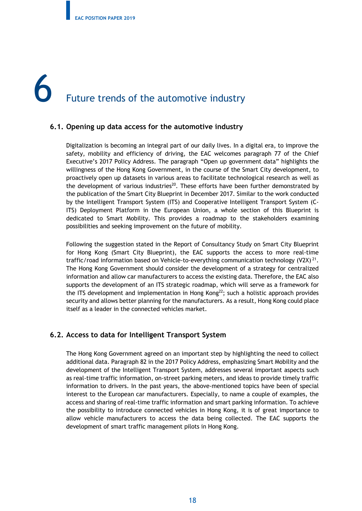# **6** Future trends of the automotive industry

#### **6.1. Opening up data access for the automotive industry**

Digitalization is becoming an integral part of our daily lives. In a digital era, to improve the safety, mobility and efficiency of driving, the EAC welcomes paragraph 77 of the Chief Executive's 2017 Policy Address. The paragraph "Open up government data" highlights the willingness of the Hong Kong Government, in the course of the Smart City development, to proactively open up datasets in various areas to facilitate technological research as well as the development of various industries<sup>20</sup>. These efforts have been further demonstrated by the publication of the Smart City Blueprint in December 2017. Similar to the work conducted by the Intelligent Transport System (ITS) and Cooperative Intelligent Transport System (C-ITS) Deployment Platform in the European Union, a whole section of this Blueprint is dedicated to Smart Mobility. This provides a roadmap to the stakeholders examining possibilities and seeking improvement on the future of mobility.

Following the suggestion stated in the Report of Consultancy Study on Smart City Blueprint for Hong Kong (Smart City Blueprint), the EAC supports the access to more real-time traffic/road information based on Vehicle-to-everything communication technology  $(V2X)^{21}$ . The Hong Kong Government should consider the development of a strategy for centralized information and allow car manufacturers to access the existing data. Therefore, the EAC also supports the development of an ITS strategic roadmap, which will serve as a framework for the ITS development and implementation in Hong Kong $22$ ; such a holistic approach provides security and allows better planning for the manufacturers. As a result, Hong Kong could place itself as a leader in the connected vehicles market.

#### **6.2. Access to data for Intelligent Transport System**

The Hong Kong Government agreed on an important step by highlighting the need to collect additional data. Paragraph 82 in the 2017 Policy Address, emphasizing Smart Mobility and the development of the Intelligent Transport System, addresses several important aspects such as real-time traffic information, on-street parking meters, and ideas to provide timely traffic information to drivers. In the past years, the above-mentioned topics have been of special interest to the European car manufacturers. Especially, to name a couple of examples, the access and sharing of real-time traffic information and smart parking information. To achieve the possibility to introduce connected vehicles in Hong Kong, it is of great importance to allow vehicle manufacturers to access the data being collected. The EAC supports the development of smart traffic management pilots in Hong Kong.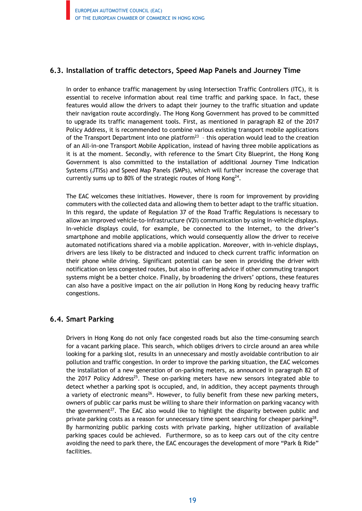#### **6.3. Installation of traffic detectors, Speed Map Panels and Journey Time**

In order to enhance traffic management by using Intersection Traffic Controllers (ITC), it is essential to receive information about real time traffic and parking space. In fact, these features would allow the drivers to adapt their journey to the traffic situation and update their navigation route accordingly. The Hong Kong Government has proved to be committed to upgrade its traffic management tools. First, as mentioned in paragraph 82 of the 2017 Policy Address, it is recommended to combine various existing transport mobile applications of the Transport Department into one platform<sup>23</sup> - this operation would lead to the creation of an All-in-one Transport Mobile Application, instead of having three mobile applications as it is at the moment. Secondly, with reference to the Smart City Blueprint, the Hong Kong Government is also committed to the installation of additional Journey Time Indication Systems (JTISs) and Speed Map Panels (SMPs), which will further increase the coverage that currently sums up to 80% of the strategic routes of Hong Kong<sup>24</sup>.

The EAC welcomes these initiatives. However, there is room for improvement by providing commuters with the collected data and allowing them to better adapt to the traffic situation. In this regard, the update of Regulation 37 of the Road Traffic Regulations is necessary to allow an improved vehicle-to-infrastructure (V2I) communication by using in-vehicle displays. In-vehicle displays could, for example, be connected to the Internet, to the driver's smartphone and mobile applications, which would consequently allow the driver to receive automated notifications shared via a mobile application. Moreover, with in-vehicle displays, drivers are less likely to be distracted and induced to check current traffic information on their phone while driving. Significant potential can be seen in providing the driver with notification on less congested routes, but also in offering advice if other commuting transport systems might be a better choice. Finally, by broadening the drivers' options, these features can also have a positive impact on the air pollution in Hong Kong by reducing heavy traffic congestions.

#### **6.4. Smart Parking**

Drivers in Hong Kong do not only face congested roads but also the time-consuming search for a vacant parking place. This search, which obliges drivers to circle around an area while looking for a parking slot, results in an unnecessary and mostly avoidable contribution to air pollution and traffic congestion. In order to improve the parking situation, the EAC welcomes the installation of a new generation of on-parking meters, as announced in paragraph 82 of the 2017 Policy Address<sup>25</sup>. These on-parking meters have new sensors integrated able to detect whether a parking spot is occupied, and, in addition, they accept payments through a variety of electronic means<sup>26</sup>. However, to fully benefit from these new parking meters, owners of public car parks must be willing to share their information on parking vacancy with the government<sup>27</sup>. The EAC also would like to highlight the disparity between public and private parking costs as a reason for unnecessary time spent searching for cheaper parking<sup>28</sup>. By harmonizing public parking costs with private parking, higher utilization of available parking spaces could be achieved. Furthermore, so as to keep cars out of the city centre avoiding the need to park there, the EAC encourages the development of more "Park & Ride" facilities.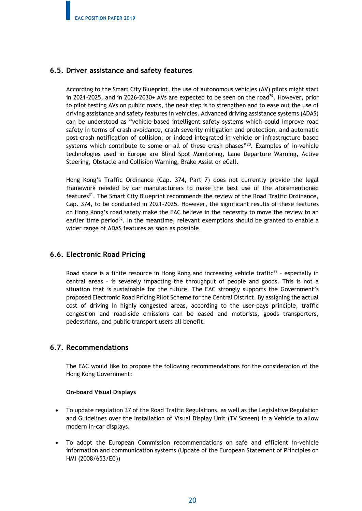#### **6.5. Driver assistance and safety features**

According to the Smart City Blueprint, the use of autonomous vehicles (AV) pilots might start in 2021-2025, and in 2026-2030+ AVs are expected to be seen on the road<sup>29</sup>. However, prior to pilot testing AVs on public roads, the next step is to strengthen and to ease out the use of driving assistance and safety features in vehicles. Advanced driving assistance systems (ADAS) can be understood as "vehicle-based intelligent safety systems which could improve road safety in terms of crash avoidance, crash severity mitigation and protection, and automatic post-crash notification of collision; or indeed integrated in-vehicle or infrastructure based systems which contribute to some or all of these crash phases"<sup>30</sup>. Examples of in-vehicle technologies used in Europe are Blind Spot Monitoring, Lane Departure Warning, Active Steering, Obstacle and Collision Warning, Brake Assist or eCall.

Hong Kong's Traffic Ordinance (Cap. 374, Part 7) does not currently provide the legal framework needed by car manufacturers to make the best use of the aforementioned features<sup>31</sup>. The Smart City Blueprint recommends the review of the Road Traffic Ordinance, Cap. 374, to be conducted in 2021-2025. However, the significant results of these features on Hong Kong's road safety make the EAC believe in the necessity to move the review to an earlier time period<sup>32</sup>. In the meantime, relevant exemptions should be granted to enable a wider range of ADAS features as soon as possible.

#### **6.6. Electronic Road Pricing**

Road space is a finite resource in Hong Kong and increasing vehicle traffic<sup>33</sup> - especially in central areas – is severely impacting the throughput of people and goods. This is not a situation that is sustainable for the future. The EAC strongly supports the Government's proposed Electronic Road Pricing Pilot Scheme for the Central District. By assigning the actual cost of driving in highly congested areas, according to the user-pays principle, traffic congestion and road-side emissions can be eased and motorists, goods transporters, pedestrians, and public transport users all benefit.

#### **6.7. Recommendations**

The EAC would like to propose the following recommendations for the consideration of the Hong Kong Government:

#### **On-board Visual Displays**

- To update regulation 37 of the Road Traffic Regulations, as well as the Legislative Regulation and Guidelines over the Installation of Visual Display Unit (TV Screen) in a Vehicle to allow modern in-car displays.
- To adopt the European Commission recommendations on safe and efficient in-vehicle information and communication systems (Update of the European Statement of Principles on HMI (2008/653/EC))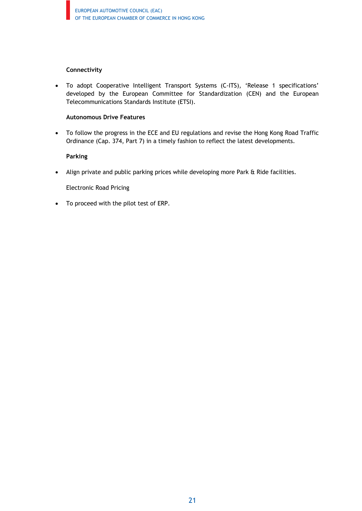#### **Connectivity**

• To adopt Cooperative Intelligent Transport Systems (C-ITS), 'Release 1 specifications' developed by the European Committee for Standardization (CEN) and the European Telecommunications Standards Institute (ETSI).

#### **Autonomous Drive Features**

• To follow the progress in the ECE and EU regulations and revise the Hong Kong Road Traffic Ordinance (Cap. 374, Part 7) in a timely fashion to reflect the latest developments.

#### **Parking**

• Align private and public parking prices while developing more Park & Ride facilities.

Electronic Road Pricing

• To proceed with the pilot test of ERP.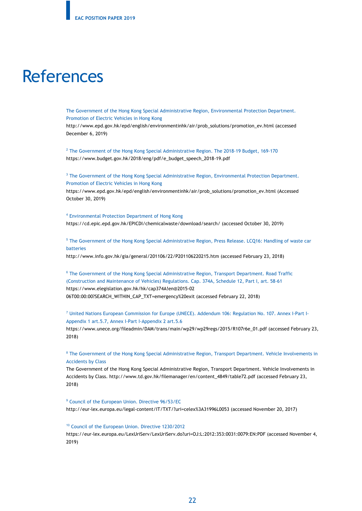### **References**

The Government of the Hong Kong Special Administrative Region, Environmental Protection Department. Promotion of Electric Vehicles in Hong Kong

http://www.epd.gov.hk/epd/english/environmentinhk/air/prob\_solutions/promotion\_ev.html (accessed December 6, 2019)

<sup>2</sup> The Government of the Hong Kong Special Administrative Region. The 2018-19 Budget, 169-170 https://www.budget.gov.hk/2018/eng/pdf/e\_budget\_speech\_2018-19.pdf

<sup>3</sup> The Government of the Hong Kong Special Administrative Region, Environmental Protection Department. Promotion of Electric Vehicles in Hong Kong

https://www.epd.gov.hk/epd/english/environmentinhk/air/prob\_solutions/promotion\_ev.html (Accessed October 30, 2019)

<sup>4</sup> Environmental Protection Department of Hong Kong https://cd.epic.epd.gov.hk/EPICDI/chemicalwaste/download/search/ (accessed October 30, 2019)

<sup>5</sup> The Government of the Hong Kong Special Administrative Region, Press Release. LCQ16: Handling of waste car batteries

http://www.info.gov.hk/gia/general/201106/22/P201106220215.htm (accessed February 23, 2018)

<sup>6</sup> The Government of the Hong Kong Special Administrative Region, Transport Department. Road Traffic (Construction and Maintenance of Vehicles) Regulations. Cap. 374A, Schedule 12, Part I, art. 58-61 https://www.elegislation.gov.hk/hk/cap374A!en@2015-02 06T00:00:00?SEARCH\_WITHIN\_CAP\_TXT=emergency%20exit (accessed February 22, 2018)

<sup>7</sup> United Nations European Commission for Europe (UNECE). Addendum 106: Regulation No. 107. Annex I-Part I-Appendix 1 art.5.7, Annex I-Part I-Appendix 2 art.5.6

https://www.unece.org/fileadmin/DAM/trans/main/wp29/wp29regs/2015/R107r6e\_01.pdf (accessed February 23, 2018)

<sup>8</sup> The Government of the Hong Kong Special Administrative Region, Transport Department. Vehicle Involvements in Accidents by Class

The Government of the Hong Kong Special Administrative Region, Transport Department. Vehicle Involvements in Accidents by Class. http://www.td.gov.hk/filemanager/en/content\_4849/table72.pdf (accessed February 23, 2018)

<sup>9</sup> Council of the European Union. Directive 96/53/EC http://eur-lex.europa.eu/legal-content/IT/TXT/?uri=celex%3A31996L0053 (accessed November 20, 2017)

#### <sup>10</sup> Council of the European Union. Directive 1230/2012

https://eur-lex.europa.eu/LexUriServ/LexUriServ.do?uri=OJ:L:2012:353:0031:0079:EN:PDF (accessed November 4, 2019)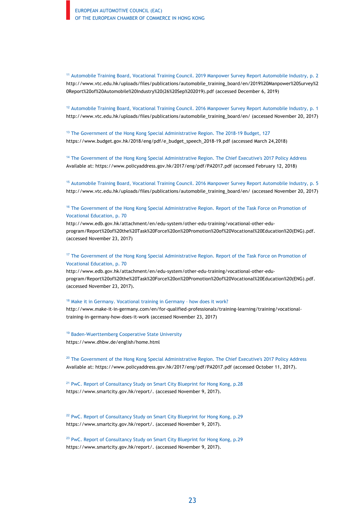<sup>11</sup> Automobile Training Board, Vocational Training Council. 2019 Manpower Survey Report Automobile Industry, p. 2 http://www.vtc.edu.hk/uploads/files/publications/automobile\_training\_board/en/2019%20Manpower%20Survey%2 0Report%20of%20Automobile%20Industry%20(26%20Sep%202019).pdf (accessed December 6, 2019)

 $12$  Automobile Training Board, Vocational Training Council. 2016 Manpower Survey Report Automobile Industry, p. 1 http://www.vtc.edu.hk/uploads/files/publications/automobile\_training\_board/en/ (accessed November 20, 2017)

<sup>13</sup> The Government of the Hong Kong Special Administrative Region. The 2018-19 Budget, 127 https://www.budget.gov.hk/2018/eng/pdf/e\_budget\_speech\_2018-19.pdf (accessed March 24,2018)

<sup>14</sup> The Government of the Hong Kong Special Administrative Region. The Chief Executive's 2017 Policy Address Available at: https://www.policyaddress.gov.hk/2017/eng/pdf/PA2017.pdf (accessed February 12, 2018)

<sup>15</sup> Automobile Training Board, Vocational Training Council. 2016 Manpower Survey Report Automobile Industry, p. 5 http://www.vtc.edu.hk/uploads/files/publications/automobile\_training\_board/en/ (accessed November 20, 2017)

<sup>16</sup> The Government of the Hong Kong Special Administrative Region. Report of the Task Force on Promotion of Vocational Education, p. 70

http://www.edb.gov.hk/attachment/en/edu-system/other-edu-training/vocational-other-eduprogram/Report%20of%20the%20Task%20Force%20on%20Promotion%20of%20Vocational%20Education%20(ENG).pdf. (accessed November 23, 2017)

#### <sup>17</sup> The Government of the Hong Kong Special Administrative Region. Report of the Task Force on Promotion of Vocational Education, p. 70

http://www.edb.gov.hk/attachment/en/edu-system/other-edu-training/vocational-other-eduprogram/Report%20of%20the%20Task%20Force%20on%20Promotion%20of%20Vocational%20Education%20(ENG).pdf. (accessed November 23, 2017).

#### <sup>18</sup> Make it in Germany. Vocational training in Germany - how does it work?

http://www.make-it-in-germany.com/en/for-qualified-professionals/training-learning/training/vocationaltraining-in-germany-how-does-it-work (accessed November 23, 2017)

<sup>19</sup> Baden-Wuerttemberg Cooperative State University https://www.dhbw.de/english/home.html

<sup>20</sup> The Government of the Hong Kong Special Administrative Region. The Chief Executive's 2017 Policy Address Available at: https://www.policyaddress.gov.hk/2017/eng/pdf/PA2017.pdf (accessed October 11, 2017).

<sup>21</sup> PwC. Report of Consultancy Study on Smart City Blueprint for Hong Kong, p.28 https://www.smartcity.gov.hk/report/. (accessed November 9, 2017).

<sup>22</sup> PwC. Report of Consultancy Study on Smart City Blueprint for Hong Kong, p.29 https://www.smartcity.gov.hk/report/. (accessed November 9, 2017).

<sup>23</sup> PwC. Report of Consultancy Study on Smart City Blueprint for Hong Kong, p.29 https://www.smartcity.gov.hk/report/. (accessed November 9, 2017).